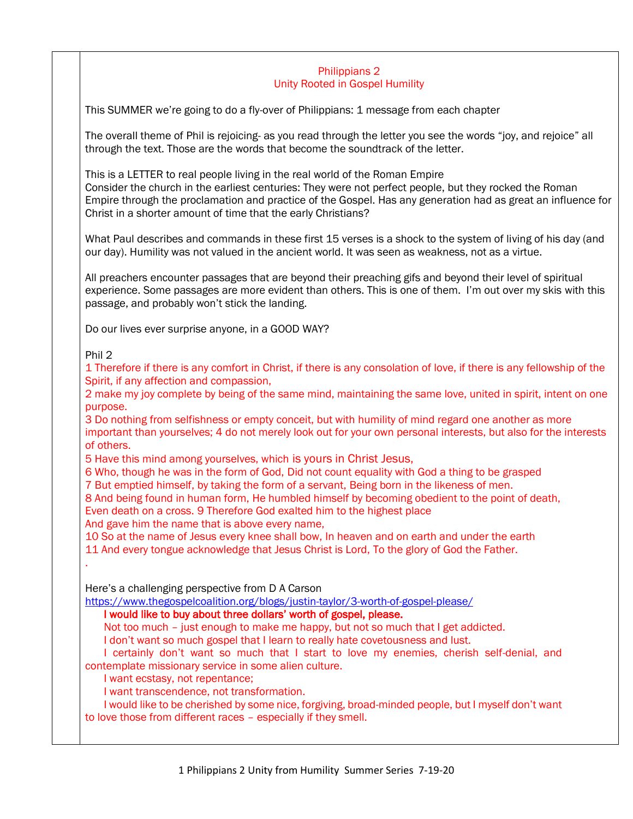#### Philippians 2 Unity Rooted in Gospel Humility

This SUMMER we're going to do a fly-over of Philippians: 1 message from each chapter

The overall theme of Phil is rejoicing- as you read through the letter you see the words "joy, and rejoice" all through the text. Those are the words that become the soundtrack of the letter.

This is a LETTER to real people living in the real world of the Roman Empire Consider the church in the earliest centuries: They were not perfect people, but they rocked the Roman Empire through the proclamation and practice of the Gospel. Has any generation had as great an influence for Christ in a shorter amount of time that the early Christians?

What Paul describes and commands in these first 15 verses is a shock to the system of living of his day (and our day). Humility was not valued in the ancient world. It was seen as weakness, not as a virtue.

All preachers encounter passages that are beyond their preaching gifs and beyond their level of spiritual experience. Some passages are more evident than others. This is one of them. I'm out over my skis with this passage, and probably won't stick the landing.

Do our lives ever surprise anyone, in a GOOD WAY?

Phil 2

.

1 Therefore if there is any comfort in Christ, if there is any consolation of love, if there is any fellowship of the Spirit, if any affection and compassion,

2 make my joy complete by being of the same mind, maintaining the same love, united in spirit, intent on one purpose.

3 Do nothing from selfishness or empty conceit, but with humility of mind regard one another as more important than yourselves; 4 do not merely look out for your own personal interests, but also for the interests of others.

5 Have this mind among yourselves, which is yours in Christ Jesus,

6 Who, though he was in the form of God, Did not count equality with God a thing to be grasped

7 But emptied himself, by taking the form of a servant, Being born in the likeness of men.

8 And being found in human form, He humbled himself by becoming obedient to the point of death,

Even death on a cross. 9 Therefore God exalted him to the highest place

And gave him the name that is above every name,

10 So at the name of Jesus every knee shall bow, In heaven and on earth and under the earth

11 And every tongue acknowledge that Jesus Christ is Lord, To the glory of God the Father.

Here's a challenging perspective from D A Carson

<https://www.thegospelcoalition.org/blogs/justin-taylor/3-worth-of-gospel-please/>

## I would like to buy about three dollars' worth of gospel, please.

Not too much – just enough to make me happy, but not so much that I get addicted.

I don't want so much gospel that I learn to really hate covetousness and lust.

I certainly don't want so much that I start to love my enemies, cherish self-denial, and contemplate missionary service in some alien culture.

I want ecstasy, not repentance;

I want transcendence, not transformation.

I would like to be cherished by some nice, forgiving, broad-minded people, but I myself don't want to love those from different races – especially if they smell.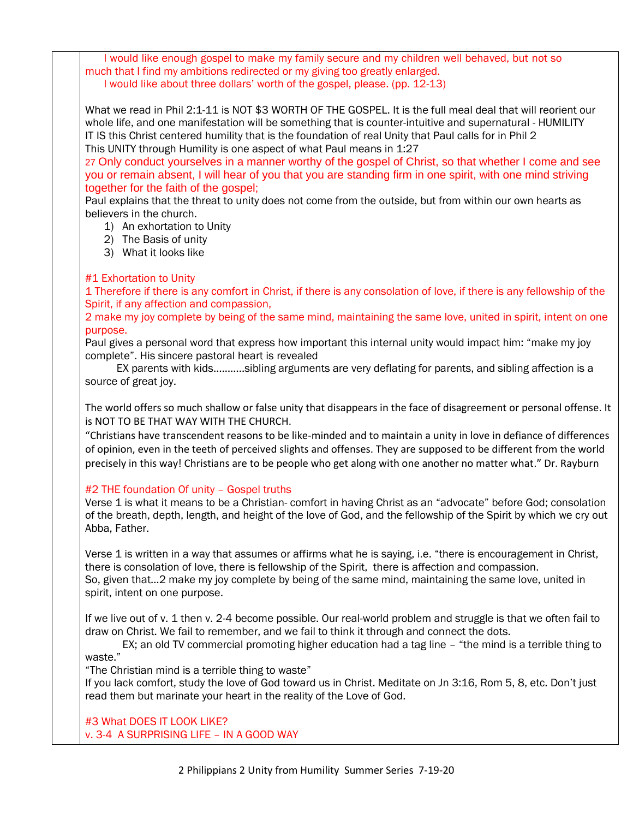I would like enough gospel to make my family secure and my children well behaved, but not so much that I find my ambitions redirected or my giving too greatly enlarged. I would like about three dollars' worth of the gospel, please. (pp. 12-13)

What we read in Phil 2:1-11 is NOT \$3 WORTH OF THE GOSPEL. It is the full meal deal that will reorient our whole life, and one manifestation will be something that is counter-intuitive and supernatural - HUMILITY IT IS this Christ centered humility that is the foundation of real Unity that Paul calls for in Phil 2 This UNITY through Humility is one aspect of what Paul means in 1:27

27 Only conduct yourselves in a manner worthy of the gospel of Christ, so that whether I come and see you or remain absent, I will hear of you that you are standing firm in one spirit, with one mind striving together for the faith of the gospel;

Paul explains that the threat to unity does not come from the outside, but from within our own hearts as believers in the church.

1) An exhortation to Unity

- 2) The Basis of unity
- 3) What it looks like

# #1 Exhortation to Unity

1 Therefore if there is any comfort in Christ, if there is any consolation of love, if there is any fellowship of the Spirit, if any affection and compassion,

2 make my joy complete by being of the same mind, maintaining the same love, united in spirit, intent on one purpose.

Paul gives a personal word that express how important this internal unity would impact him: "make my joy complete". His sincere pastoral heart is revealed

 EX parents with kids………..sibling arguments are very deflating for parents, and sibling affection is a source of great joy.

The world offers so much shallow or false unity that disappears in the face of disagreement or personal offense. It is NOT TO BE THAT WAY WITH THE CHURCH.

"Christians have transcendent reasons to be like-minded and to maintain a unity in love in defiance of differences of opinion, even in the teeth of perceived slights and offenses. They are supposed to be different from the world precisely in this way! Christians are to be people who get along with one another no matter what." Dr. Rayburn

# #2 THE foundation Of unity – Gospel truths

Verse 1 is what it means to be a Christian- comfort in having Christ as an "advocate" before God; consolation of the breath, depth, length, and height of the love of God, and the fellowship of the Spirit by which we cry out Abba, Father.

Verse 1 is written in a way that assumes or affirms what he is saying, i.e. "there is encouragement in Christ, there is consolation of love, there is fellowship of the Spirit, there is affection and compassion. So, given that…2 make my joy complete by being of the same mind, maintaining the same love, united in spirit, intent on one purpose.

If we live out of v. 1 then v. 2-4 become possible. Our real-world problem and struggle is that we often fail to draw on Christ. We fail to remember, and we fail to think it through and connect the dots.

EX; an old TV commercial promoting higher education had a tag line – "the mind is a terrible thing to waste."

"The Christian mind is a terrible thing to waste"

If you lack comfort, study the love of God toward us in Christ. Meditate on Jn 3:16, Rom 5, 8, etc. Don't just read them but marinate your heart in the reality of the Love of God.

#3 What DOES IT LOOK LIKE? v. 3-4 A SURPRISING LIFE – IN A GOOD WAY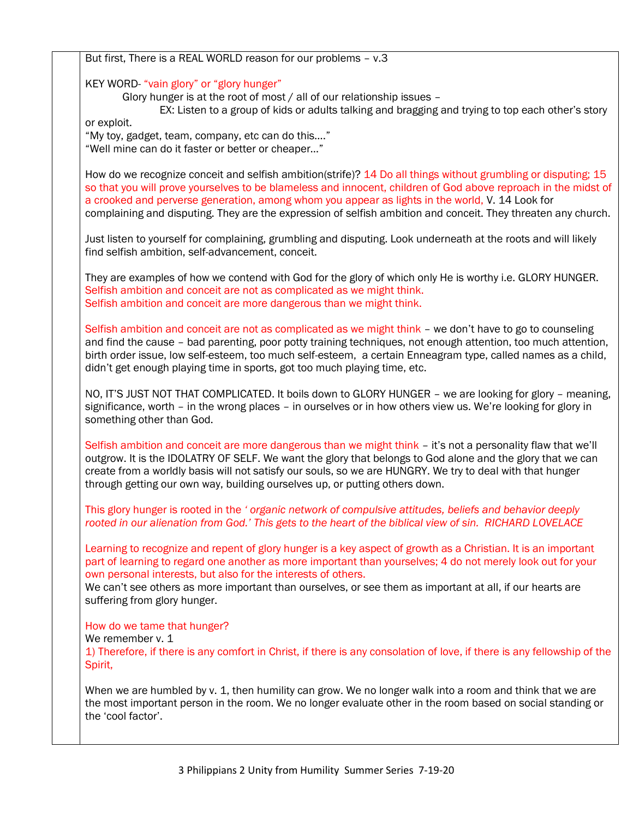But first, There is a REAL WORLD reason for our problems – v.3

KEY WORD- "vain glory" or "glory hunger"

Glory hunger is at the root of most / all of our relationship issues –

EX: Listen to a group of kids or adults talking and bragging and trying to top each other's story or exploit.

"My toy, gadget, team, company, etc can do this…."

"Well mine can do it faster or better or cheaper…"

How do we recognize conceit and selfish ambition(strife)? 14 Do all things without grumbling or disputing; 15 so that you will prove yourselves to be blameless and innocent, children of God above reproach in the midst of a crooked and perverse generation, among whom you appear as lights in the world, V. 14 Look for complaining and disputing. They are the expression of selfish ambition and conceit. They threaten any church.

Just listen to yourself for complaining, grumbling and disputing. Look underneath at the roots and will likely find selfish ambition, self-advancement, conceit.

They are examples of how we contend with God for the glory of which only He is worthy i.e. GLORY HUNGER. Selfish ambition and conceit are not as complicated as we might think. Selfish ambition and conceit are more dangerous than we might think.

Selfish ambition and conceit are not as complicated as we might think – we don't have to go to counseling and find the cause – bad parenting, poor potty training techniques, not enough attention, too much attention, birth order issue, low self-esteem, too much self-esteem, a certain Enneagram type, called names as a child, didn't get enough playing time in sports, got too much playing time, etc.

NO, IT'S JUST NOT THAT COMPLICATED. It boils down to GLORY HUNGER – we are looking for glory – meaning, significance, worth – in the wrong places – in ourselves or in how others view us. We're looking for glory in something other than God.

Selfish ambition and conceit are more dangerous than we might think – it's not a personality flaw that we'll outgrow. It is the IDOLATRY OF SELF. We want the glory that belongs to God alone and the glory that we can create from a worldly basis will not satisfy our souls, so we are HUNGRY. We try to deal with that hunger through getting our own way, building ourselves up, or putting others down.

This glory hunger is rooted in the *' organic network of compulsive attitudes, beliefs and behavior deeply rooted in our alienation from God.' This gets to the heart of the biblical view of sin. RICHARD LOVELACE*

Learning to recognize and repent of glory hunger is a key aspect of growth as a Christian. It is an important part of learning to regard one another as more important than yourselves; 4 do not merely look out for your own personal interests, but also for the interests of others.

We can't see others as more important than ourselves, or see them as important at all, if our hearts are suffering from glory hunger.

How do we tame that hunger?

We remember v. 1

1) Therefore, if there is any comfort in Christ, if there is any consolation of love, if there is any fellowship of the Spirit,

When we are humbled by v. 1, then humility can grow. We no longer walk into a room and think that we are the most important person in the room. We no longer evaluate other in the room based on social standing or the 'cool factor'.